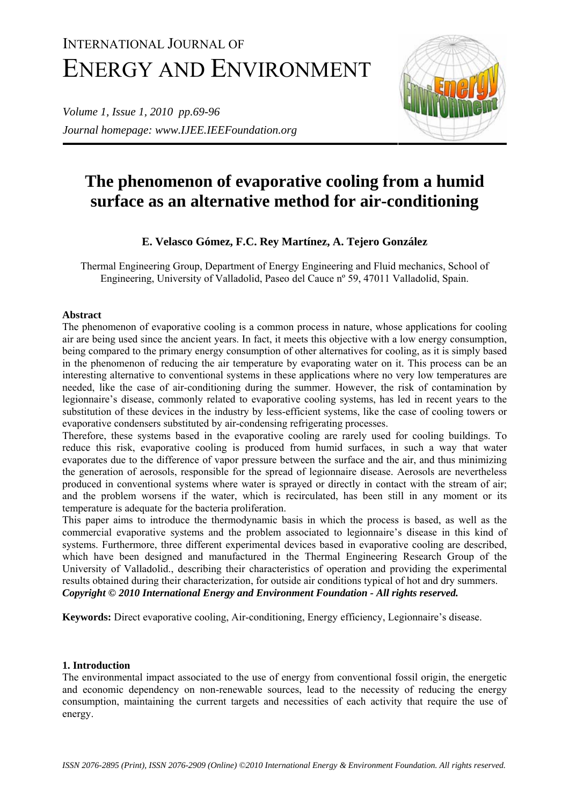# INTERNATIONAL JOURNAL OF ENERGY AND ENVIRONMENT

*Volume 1, Issue 1, 2010 pp.69-96 Journal homepage: www.IJEE.IEEFoundation.org* 



# **The phenomenon of evaporative cooling from a humid surface as an alternative method for air-conditioning**

## **E. Velasco Gómez, F.C. Rey Martínez, A. Tejero González**

Thermal Engineering Group, Department of Energy Engineering and Fluid mechanics, School of Engineering, University of Valladolid, Paseo del Cauce nº 59, 47011 Valladolid, Spain.

### **Abstract**

The phenomenon of evaporative cooling is a common process in nature, whose applications for cooling air are being used since the ancient years. In fact, it meets this objective with a low energy consumption, being compared to the primary energy consumption of other alternatives for cooling, as it is simply based in the phenomenon of reducing the air temperature by evaporating water on it. This process can be an interesting alternative to conventional systems in these applications where no very low temperatures are needed, like the case of air-conditioning during the summer. However, the risk of contamination by legionnaire's disease, commonly related to evaporative cooling systems, has led in recent years to the substitution of these devices in the industry by less-efficient systems, like the case of cooling towers or evaporative condensers substituted by air-condensing refrigerating processes.

Therefore, these systems based in the evaporative cooling are rarely used for cooling buildings. To reduce this risk, evaporative cooling is produced from humid surfaces, in such a way that water evaporates due to the difference of vapor pressure between the surface and the air, and thus minimizing the generation of aerosols, responsible for the spread of legionnaire disease. Aerosols are nevertheless produced in conventional systems where water is sprayed or directly in contact with the stream of air; and the problem worsens if the water, which is recirculated, has been still in any moment or its temperature is adequate for the bacteria proliferation.

This paper aims to introduce the thermodynamic basis in which the process is based, as well as the commercial evaporative systems and the problem associated to legionnaire's disease in this kind of systems. Furthermore, three different experimental devices based in evaporative cooling are described, which have been designed and manufactured in the Thermal Engineering Research Group of the University of Valladolid., describing their characteristics of operation and providing the experimental results obtained during their characterization, for outside air conditions typical of hot and dry summers. *Copyright © 2010 International Energy and Environment Foundation - All rights reserved.*

**Keywords:** Direct evaporative cooling, Air-conditioning, Energy efficiency, Legionnaire's disease.

#### **1. Introduction**

The environmental impact associated to the use of energy from conventional fossil origin, the energetic and economic dependency on non-renewable sources, lead to the necessity of reducing the energy consumption, maintaining the current targets and necessities of each activity that require the use of energy.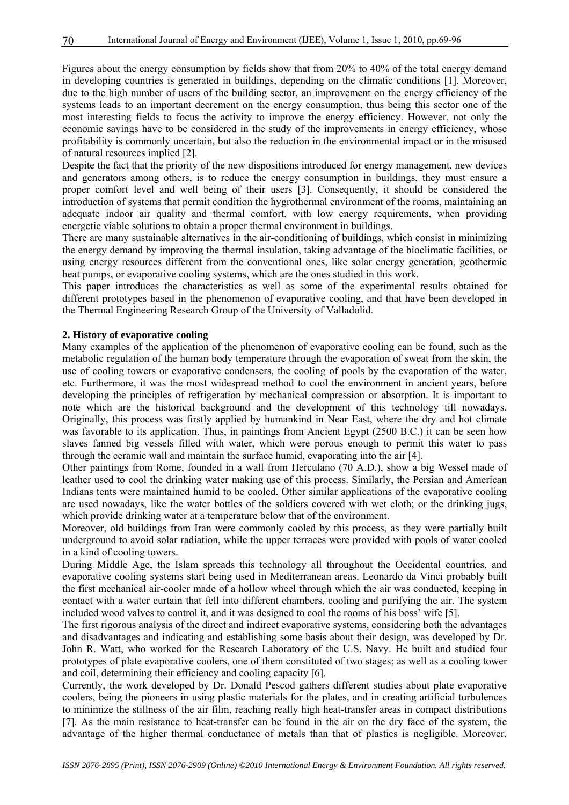Figures about the energy consumption by fields show that from 20% to 40% of the total energy demand in developing countries is generated in buildings, depending on the climatic conditions [1]. Moreover, due to the high number of users of the building sector, an improvement on the energy efficiency of the systems leads to an important decrement on the energy consumption, thus being this sector one of the most interesting fields to focus the activity to improve the energy efficiency. However, not only the economic savings have to be considered in the study of the improvements in energy efficiency, whose profitability is commonly uncertain, but also the reduction in the environmental impact or in the misused of natural resources implied [2].

Despite the fact that the priority of the new dispositions introduced for energy management, new devices and generators among others, is to reduce the energy consumption in buildings, they must ensure a proper comfort level and well being of their users [3]. Consequently, it should be considered the introduction of systems that permit condition the hygrothermal environment of the rooms, maintaining an adequate indoor air quality and thermal comfort, with low energy requirements, when providing energetic viable solutions to obtain a proper thermal environment in buildings.

There are many sustainable alternatives in the air-conditioning of buildings, which consist in minimizing the energy demand by improving the thermal insulation, taking advantage of the bioclimatic facilities, or using energy resources different from the conventional ones, like solar energy generation, geothermic heat pumps, or evaporative cooling systems, which are the ones studied in this work.

This paper introduces the characteristics as well as some of the experimental results obtained for different prototypes based in the phenomenon of evaporative cooling, and that have been developed in the Thermal Engineering Research Group of the University of Valladolid.

#### **2. History of evaporative cooling**

Many examples of the application of the phenomenon of evaporative cooling can be found, such as the metabolic regulation of the human body temperature through the evaporation of sweat from the skin, the use of cooling towers or evaporative condensers, the cooling of pools by the evaporation of the water, etc. Furthermore, it was the most widespread method to cool the environment in ancient years, before developing the principles of refrigeration by mechanical compression or absorption. It is important to note which are the historical background and the development of this technology till nowadays. Originally, this process was firstly applied by humankind in Near East, where the dry and hot climate was favorable to its application. Thus, in paintings from Ancient Egypt (2500 B.C.) it can be seen how slaves fanned big vessels filled with water, which were porous enough to permit this water to pass through the ceramic wall and maintain the surface humid, evaporating into the air [4].

Other paintings from Rome, founded in a wall from Herculano (70 A.D.), show a big Wessel made of leather used to cool the drinking water making use of this process. Similarly, the Persian and American Indians tents were maintained humid to be cooled. Other similar applications of the evaporative cooling are used nowadays, like the water bottles of the soldiers covered with wet cloth; or the drinking jugs, which provide drinking water at a temperature below that of the environment.

Moreover, old buildings from Iran were commonly cooled by this process, as they were partially built underground to avoid solar radiation, while the upper terraces were provided with pools of water cooled in a kind of cooling towers.

During Middle Age, the Islam spreads this technology all throughout the Occidental countries, and evaporative cooling systems start being used in Mediterranean areas. Leonardo da Vinci probably built the first mechanical air-cooler made of a hollow wheel through which the air was conducted, keeping in contact with a water curtain that fell into different chambers, cooling and purifying the air. The system included wood valves to control it, and it was designed to cool the rooms of his boss' wife [5].

The first rigorous analysis of the direct and indirect evaporative systems, considering both the advantages and disadvantages and indicating and establishing some basis about their design, was developed by Dr. John R. Watt, who worked for the Research Laboratory of the U.S. Navy. He built and studied four prototypes of plate evaporative coolers, one of them constituted of two stages; as well as a cooling tower and coil, determining their efficiency and cooling capacity [6].

Currently, the work developed by Dr. Donald Pescod gathers different studies about plate evaporative coolers, being the pioneers in using plastic materials for the plates, and in creating artificial turbulences to minimize the stillness of the air film, reaching really high heat-transfer areas in compact distributions [7]. As the main resistance to heat-transfer can be found in the air on the dry face of the system, the advantage of the higher thermal conductance of metals than that of plastics is negligible. Moreover,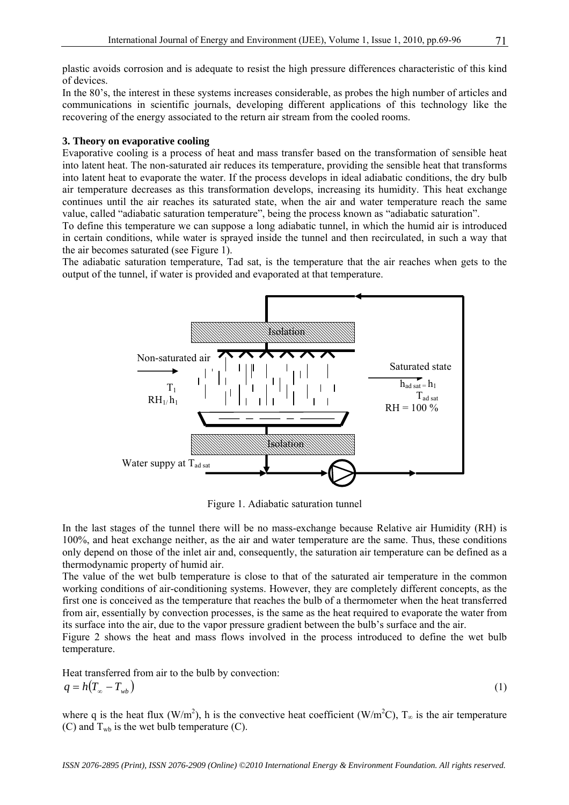plastic avoids corrosion and is adequate to resist the high pressure differences characteristic of this kind of devices.

In the 80's, the interest in these systems increases considerable, as probes the high number of articles and communications in scientific journals, developing different applications of this technology like the recovering of the energy associated to the return air stream from the cooled rooms.

#### **3. Theory on evaporative cooling**

Evaporative cooling is a process of heat and mass transfer based on the transformation of sensible heat into latent heat. The non-saturated air reduces its temperature, providing the sensible heat that transforms into latent heat to evaporate the water. If the process develops in ideal adiabatic conditions, the dry bulb air temperature decreases as this transformation develops, increasing its humidity. This heat exchange continues until the air reaches its saturated state, when the air and water temperature reach the same value, called "adiabatic saturation temperature", being the process known as "adiabatic saturation".

To define this temperature we can suppose a long adiabatic tunnel, in which the humid air is introduced in certain conditions, while water is sprayed inside the tunnel and then recirculated, in such a way that the air becomes saturated (see Figure 1).

The adiabatic saturation temperature, Tad sat, is the temperature that the air reaches when gets to the output of the tunnel, if water is provided and evaporated at that temperature.



Figure 1. Adiabatic saturation tunnel

In the last stages of the tunnel there will be no mass-exchange because Relative air Humidity (RH) is 100%, and heat exchange neither, as the air and water temperature are the same. Thus, these conditions only depend on those of the inlet air and, consequently, the saturation air temperature can be defined as a thermodynamic property of humid air.

The value of the wet bulb temperature is close to that of the saturated air temperature in the common working conditions of air-conditioning systems. However, they are completely different concepts, as the first one is conceived as the temperature that reaches the bulb of a thermometer when the heat transferred from air, essentially by convection processes, is the same as the heat required to evaporate the water from its surface into the air, due to the vapor pressure gradient between the bulb's surface and the air.

Figure 2 shows the heat and mass flows involved in the process introduced to define the wet bulb temperature.

Heat transferred from air to the bulb by convection:  $q = h(T_{\infty} - T_{wh})$ 

$$
(1)
$$

where q is the heat flux (W/m<sup>2</sup>), h is the convective heat coefficient (W/m<sup>2</sup>C),  $T_{\infty}$  is the air temperature (C) and  $T_{wb}$  is the wet bulb temperature (C).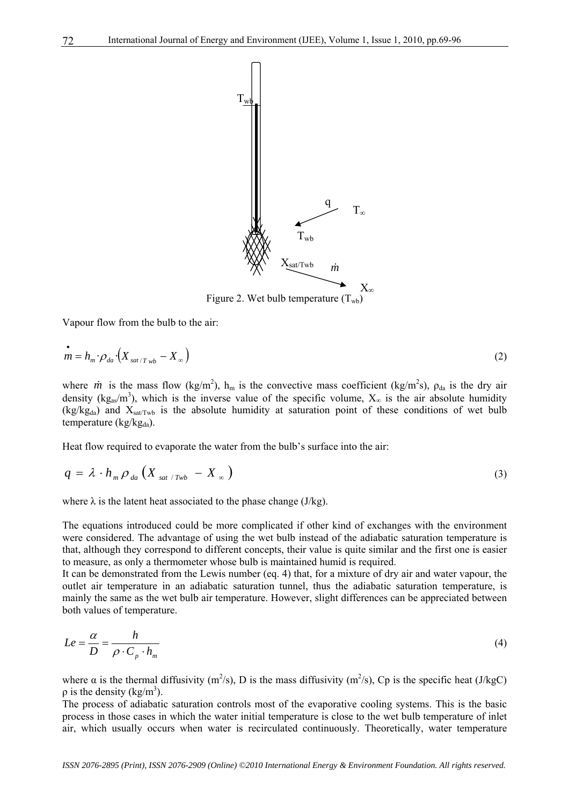

Vapour flow from the bulb to the air:

$$
\dot{m} = h_m \cdot \rho_{da} \cdot \left( X_{sat/T_{wb}} - X_{\infty} \right) \tag{2}
$$

where *m* is the mass flow (kg/m<sup>2</sup>), h<sub>m</sub> is the convective mass coefficient (kg/m<sup>2</sup>s),  $\rho_{da}$  is the dry air density (kg<sub>as</sub>/m<sup>3</sup>), which is the inverse value of the specific volume,  $X_{\infty}$  is the air absolute humidity  $(kg/kg<sub>da</sub>)$  and  $X<sub>satTwb</sub>$  is the absolute humidity at saturation point of these conditions of wet bulb temperature ( $kg/kg_{da}$ ).

Heat flow required to evaporate the water from the bulb's surface into the air:

$$
q = \lambda \cdot h_m \rho_{da} \left( X_{sat/Twb} - X_{\infty} \right) \tag{3}
$$

where  $\lambda$  is the latent heat associated to the phase change (J/kg).

The equations introduced could be more complicated if other kind of exchanges with the environment were considered. The advantage of using the wet bulb instead of the adiabatic saturation temperature is that, although they correspond to different concepts, their value is quite similar and the first one is easier to measure, as only a thermometer whose bulb is maintained humid is required.

It can be demonstrated from the Lewis number (eq. 4) that, for a mixture of dry air and water vapour, the outlet air temperature in an adiabatic saturation tunnel, thus the adiabatic saturation temperature, is mainly the same as the wet bulb air temperature. However, slight differences can be appreciated between both values of temperature.

$$
Le = \frac{\alpha}{D} = \frac{h}{\rho \cdot C_p \cdot h_m} \tag{4}
$$

where  $\alpha$  is the thermal diffusivity (m<sup>2</sup>/s), D is the mass diffusivity (m<sup>2</sup>/s), Cp is the specific heat (J/kgC)  $\rho$  is the density (kg/m<sup>3</sup>).

The process of adiabatic saturation controls most of the evaporative cooling systems. This is the basic process in those cases in which the water initial temperature is close to the wet bulb temperature of inlet air, which usually occurs when water is recirculated continuously. Theoretically, water temperature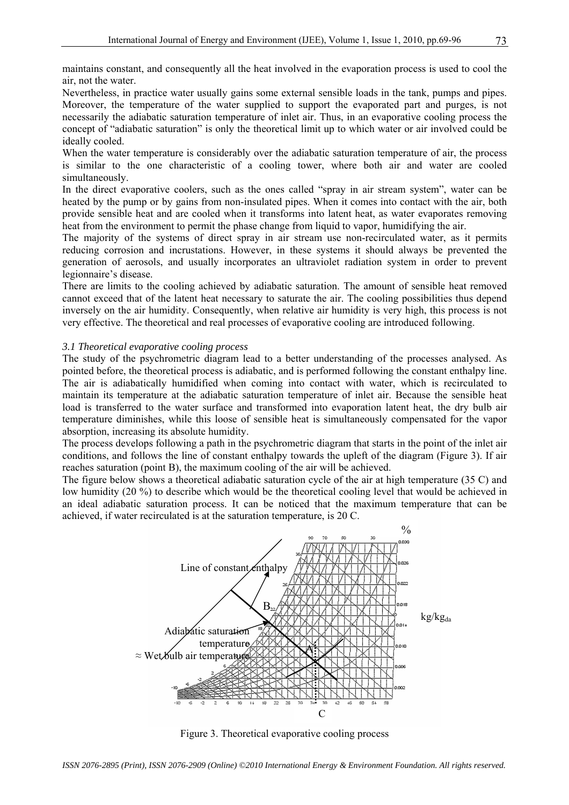maintains constant, and consequently all the heat involved in the evaporation process is used to cool the air, not the water.

Nevertheless, in practice water usually gains some external sensible loads in the tank, pumps and pipes. Moreover, the temperature of the water supplied to support the evaporated part and purges, is not necessarily the adiabatic saturation temperature of inlet air. Thus, in an evaporative cooling process the concept of "adiabatic saturation" is only the theoretical limit up to which water or air involved could be ideally cooled.

When the water temperature is considerably over the adiabatic saturation temperature of air, the process is similar to the one characteristic of a cooling tower, where both air and water are cooled simultaneously.

In the direct evaporative coolers, such as the ones called "spray in air stream system", water can be heated by the pump or by gains from non-insulated pipes. When it comes into contact with the air, both provide sensible heat and are cooled when it transforms into latent heat, as water evaporates removing heat from the environment to permit the phase change from liquid to vapor, humidifying the air.

The majority of the systems of direct spray in air stream use non-recirculated water, as it permits reducing corrosion and incrustations. However, in these systems it should always be prevented the generation of aerosols, and usually incorporates an ultraviolet radiation system in order to prevent legionnaire's disease.

There are limits to the cooling achieved by adiabatic saturation. The amount of sensible heat removed cannot exceed that of the latent heat necessary to saturate the air. The cooling possibilities thus depend inversely on the air humidity. Consequently, when relative air humidity is very high, this process is not very effective. The theoretical and real processes of evaporative cooling are introduced following.

#### *3.1 Theoretical evaporative cooling process*

The study of the psychrometric diagram lead to a better understanding of the processes analysed. As pointed before, the theoretical process is adiabatic, and is performed following the constant enthalpy line. The air is adiabatically humidified when coming into contact with water, which is recirculated to maintain its temperature at the adiabatic saturation temperature of inlet air. Because the sensible heat load is transferred to the water surface and transformed into evaporation latent heat, the dry bulb air temperature diminishes, while this loose of sensible heat is simultaneously compensated for the vapor absorption, increasing its absolute humidity.

The process develops following a path in the psychrometric diagram that starts in the point of the inlet air conditions, and follows the line of constant enthalpy towards the upleft of the diagram (Figure 3). If air reaches saturation (point B), the maximum cooling of the air will be achieved.

The figure below shows a theoretical adiabatic saturation cycle of the air at high temperature (35 C) and low humidity (20 %) to describe which would be the theoretical cooling level that would be achieved in an ideal adiabatic saturation process. It can be noticed that the maximum temperature that can be achieved, if water recirculated is at the saturation temperature, is 20 C.



Figure 3. Theoretical evaporative cooling process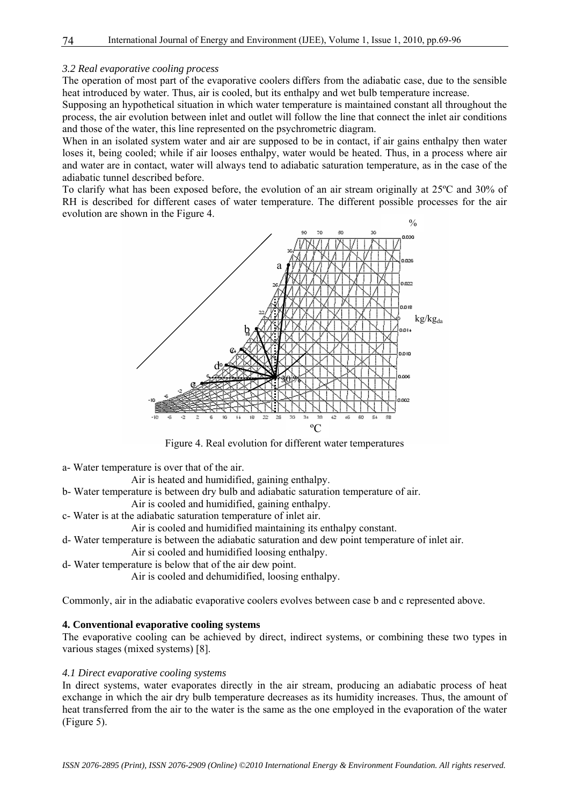#### *3.2 Real evaporative cooling process*

The operation of most part of the evaporative coolers differs from the adiabatic case, due to the sensible heat introduced by water. Thus, air is cooled, but its enthalpy and wet bulb temperature increase.

Supposing an hypothetical situation in which water temperature is maintained constant all throughout the process, the air evolution between inlet and outlet will follow the line that connect the inlet air conditions and those of the water, this line represented on the psychrometric diagram.

When in an isolated system water and air are supposed to be in contact, if air gains enthalpy then water loses it, being cooled; while if air looses enthalpy, water would be heated. Thus, in a process where air and water are in contact, water will always tend to adiabatic saturation temperature, as in the case of the adiabatic tunnel described before.

To clarify what has been exposed before, the evolution of an air stream originally at 25ºC and 30% of RH is described for different cases of water temperature. The different possible processes for the air evolution are shown in the Figure 4.



Figure 4. Real evolution for different water temperatures

a- Water temperature is over that of the air.

Air is heated and humidified, gaining enthalpy.

- b- Water temperature is between dry bulb and adiabatic saturation temperature of air.
	- Air is cooled and humidified, gaining enthalpy.
- c- Water is at the adiabatic saturation temperature of inlet air.

Air is cooled and humidified maintaining its enthalpy constant.

- d- Water temperature is between the adiabatic saturation and dew point temperature of inlet air.
	- Air si cooled and humidified loosing enthalpy.
- d- Water temperature is below that of the air dew point.

Air is cooled and dehumidified, loosing enthalpy.

Commonly, air in the adiabatic evaporative coolers evolves between case b and c represented above.

#### **4. Conventional evaporative cooling systems**

The evaporative cooling can be achieved by direct, indirect systems, or combining these two types in various stages (mixed systems) [8].

#### *4.1 Direct evaporative cooling systems*

In direct systems, water evaporates directly in the air stream, producing an adiabatic process of heat exchange in which the air dry bulb temperature decreases as its humidity increases. Thus, the amount of heat transferred from the air to the water is the same as the one employed in the evaporation of the water (Figure 5).

74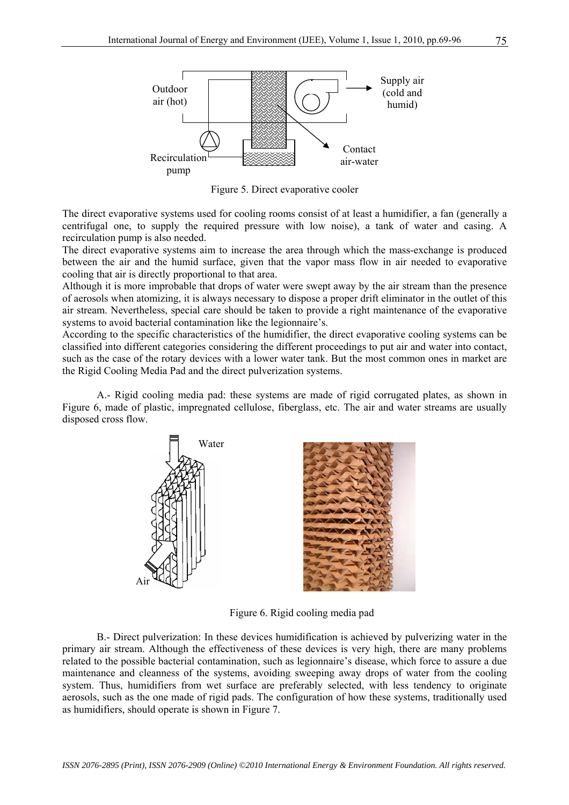

Figure 5. Direct evaporative cooler

The direct evaporative systems used for cooling rooms consist of at least a humidifier, a fan (generally a centrifugal one, to supply the required pressure with low noise), a tank of water and casing. A recirculation pump is also needed.

The direct evaporative systems aim to increase the area through which the mass-exchange is produced between the air and the humid surface, given that the vapor mass flow in air needed to evaporative cooling that air is directly proportional to that area.

Although it is more improbable that drops of water were swept away by the air stream than the presence of aerosols when atomizing, it is always necessary to dispose a proper drift eliminator in the outlet of this air stream. Nevertheless, special care should be taken to provide a right maintenance of the evaporative systems to avoid bacterial contamination like the legionnaire's.

According to the specific characteristics of the humidifier, the direct evaporative cooling systems can be classified into different categories considering the different proceedings to put air and water into contact, such as the case of the rotary devices with a lower water tank. But the most common ones in market are the Rigid Cooling Media Pad and the direct pulverization systems.

A.- Rigid cooling media pad: these systems are made of rigid corrugated plates, as shown in Figure 6, made of plastic, impregnated cellulose, fiberglass, etc. The air and water streams are usually disposed cross flow.





Figure 6. Rigid cooling media pad

B.- Direct pulverization: In these devices humidification is achieved by pulverizing water in the primary air stream. Although the effectiveness of these devices is very high, there are many problems related to the possible bacterial contamination, such as legionnaire's disease, which force to assure a due maintenance and cleanness of the systems, avoiding sweeping away drops of water from the cooling system. Thus, humidifiers from wet surface are preferably selected, with less tendency to originate aerosols, such as the one made of rigid pads. The configuration of how these systems, traditionally used as humidifiers, should operate is shown in Figure 7.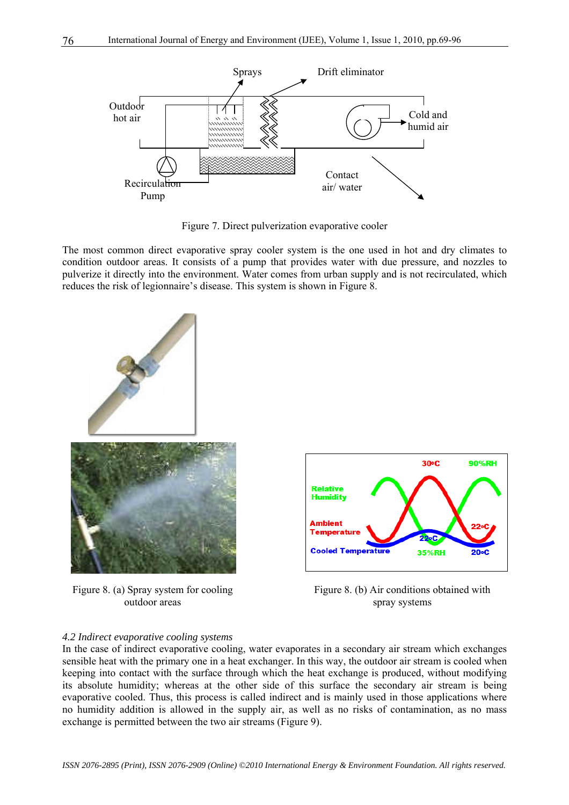

Figure 7. Direct pulverization evaporative cooler

The most common direct evaporative spray cooler system is the one used in hot and dry climates to condition outdoor areas. It consists of a pump that provides water with due pressure, and nozzles to pulverize it directly into the environment. Water comes from urban supply and is not recirculated, which reduces the risk of legionnaire's disease. This system is shown in Figure 8.



Figure 8. (a) Spray system for cooling outdoor areas





#### *4.2 Indirect evaporative cooling systems*

In the case of indirect evaporative cooling, water evaporates in a secondary air stream which exchanges sensible heat with the primary one in a heat exchanger. In this way, the outdoor air stream is cooled when keeping into contact with the surface through which the heat exchange is produced, without modifying its absolute humidity; whereas at the other side of this surface the secondary air stream is being evaporative cooled. Thus, this process is called indirect and is mainly used in those applications where no humidity addition is allowed in the supply air, as well as no risks of contamination, as no mass exchange is permitted between the two air streams (Figure 9).

76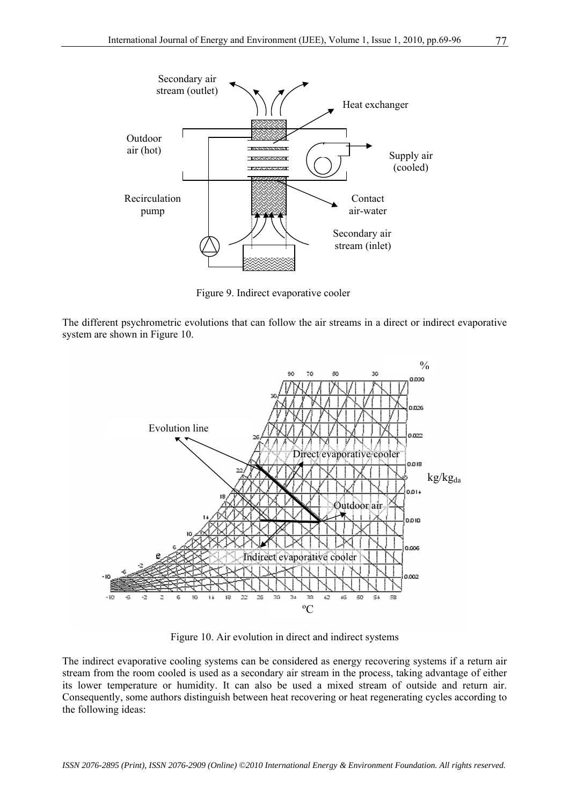

Figure 9. Indirect evaporative cooler

The different psychrometric evolutions that can follow the air streams in a direct or indirect evaporative system are shown in Figure 10.



Figure 10. Air evolution in direct and indirect systems

The indirect evaporative cooling systems can be considered as energy recovering systems if a return air stream from the room cooled is used as a secondary air stream in the process, taking advantage of either its lower temperature or humidity. It can also be used a mixed stream of outside and return air. Consequently, some authors distinguish between heat recovering or heat regenerating cycles according to the following ideas: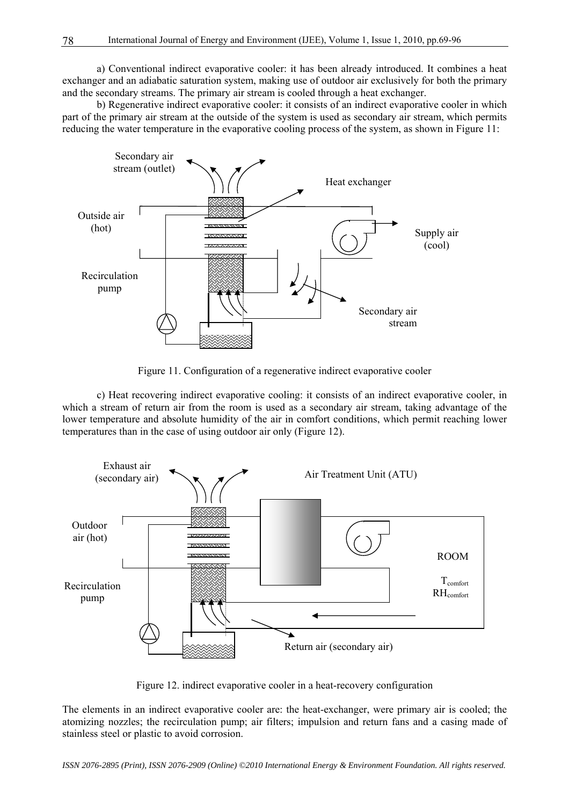a) Conventional indirect evaporative cooler: it has been already introduced. It combines a heat exchanger and an adiabatic saturation system, making use of outdoor air exclusively for both the primary and the secondary streams. The primary air stream is cooled through a heat exchanger.

 b) Regenerative indirect evaporative cooler: it consists of an indirect evaporative cooler in which part of the primary air stream at the outside of the system is used as secondary air stream, which permits reducing the water temperature in the evaporative cooling process of the system, as shown in Figure 11:



Figure 11. Configuration of a regenerative indirect evaporative cooler

 c) Heat recovering indirect evaporative cooling: it consists of an indirect evaporative cooler, in which a stream of return air from the room is used as a secondary air stream, taking advantage of the lower temperature and absolute humidity of the air in comfort conditions, which permit reaching lower temperatures than in the case of using outdoor air only (Figure 12).



Figure 12. indirect evaporative cooler in a heat-recovery configuration

The elements in an indirect evaporative cooler are: the heat-exchanger, were primary air is cooled; the atomizing nozzles; the recirculation pump; air filters; impulsion and return fans and a casing made of stainless steel or plastic to avoid corrosion.

*ISSN 2076-2895 (Print), ISSN 2076-2909 (Online) ©2010 International Energy & Environment Foundation. All rights reserved.*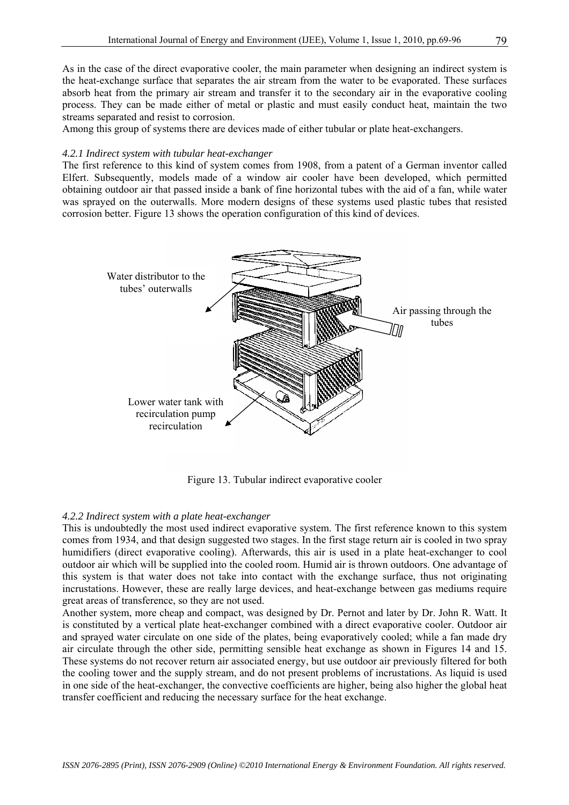As in the case of the direct evaporative cooler, the main parameter when designing an indirect system is the heat-exchange surface that separates the air stream from the water to be evaporated. These surfaces absorb heat from the primary air stream and transfer it to the secondary air in the evaporative cooling process. They can be made either of metal or plastic and must easily conduct heat, maintain the two streams separated and resist to corrosion.

Among this group of systems there are devices made of either tubular or plate heat-exchangers.

#### *4.2.1 Indirect system with tubular heat-exchanger*

The first reference to this kind of system comes from 1908, from a patent of a German inventor called Elfert. Subsequently, models made of a window air cooler have been developed, which permitted obtaining outdoor air that passed inside a bank of fine horizontal tubes with the aid of a fan, while water was sprayed on the outerwalls. More modern designs of these systems used plastic tubes that resisted corrosion better. Figure 13 shows the operation configuration of this kind of devices.



Figure 13. Tubular indirect evaporative cooler

#### *4.2.2 Indirect system with a plate heat-exchanger*

This is undoubtedly the most used indirect evaporative system. The first reference known to this system comes from 1934, and that design suggested two stages. In the first stage return air is cooled in two spray humidifiers (direct evaporative cooling). Afterwards, this air is used in a plate heat-exchanger to cool outdoor air which will be supplied into the cooled room. Humid air is thrown outdoors. One advantage of this system is that water does not take into contact with the exchange surface, thus not originating incrustations. However, these are really large devices, and heat-exchange between gas mediums require great areas of transference, so they are not used.

Another system, more cheap and compact, was designed by Dr. Pernot and later by Dr. John R. Watt. It is constituted by a vertical plate heat-exchanger combined with a direct evaporative cooler. Outdoor air and sprayed water circulate on one side of the plates, being evaporatively cooled; while a fan made dry air circulate through the other side, permitting sensible heat exchange as shown in Figures 14 and 15. These systems do not recover return air associated energy, but use outdoor air previously filtered for both the cooling tower and the supply stream, and do not present problems of incrustations. As liquid is used in one side of the heat-exchanger, the convective coefficients are higher, being also higher the global heat transfer coefficient and reducing the necessary surface for the heat exchange.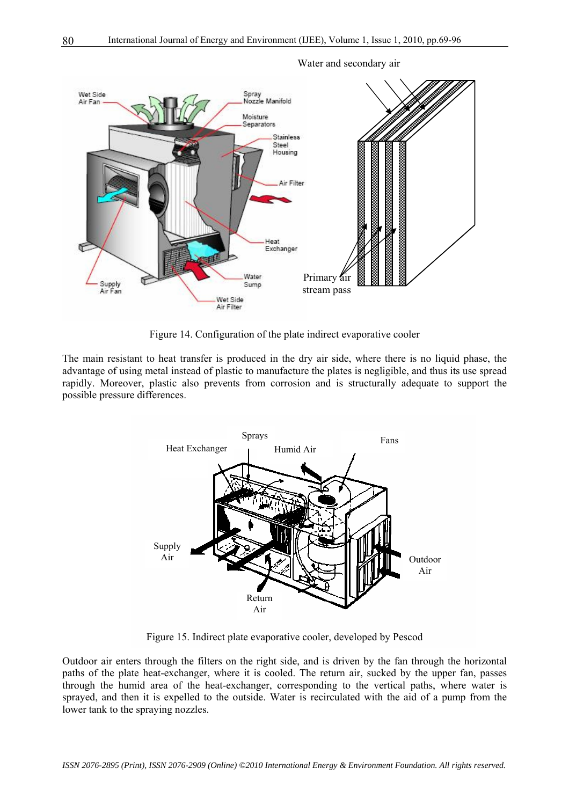

#### Water and secondary air

Figure 14. Configuration of the plate indirect evaporative cooler

The main resistant to heat transfer is produced in the dry air side, where there is no liquid phase, the advantage of using metal instead of plastic to manufacture the plates is negligible, and thus its use spread rapidly. Moreover, plastic also prevents from corrosion and is structurally adequate to support the possible pressure differences.



Figure 15. Indirect plate evaporative cooler, developed by Pescod

Outdoor air enters through the filters on the right side, and is driven by the fan through the horizontal paths of the plate heat-exchanger, where it is cooled. The return air, sucked by the upper fan, passes through the humid area of the heat-exchanger, corresponding to the vertical paths, where water is sprayed, and then it is expelled to the outside. Water is recirculated with the aid of a pump from the lower tank to the spraying nozzles.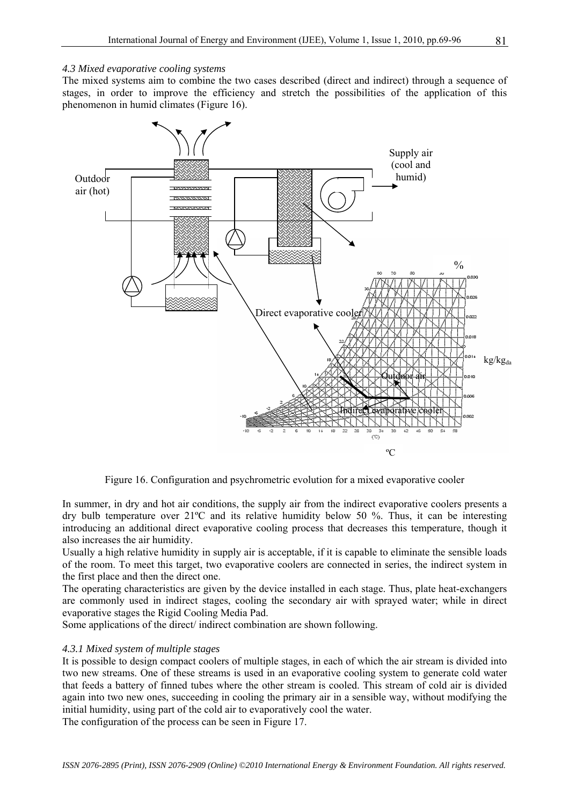#### *4.3 Mixed evaporative cooling systems*

The mixed systems aim to combine the two cases described (direct and indirect) through a sequence of stages, in order to improve the efficiency and stretch the possibilities of the application of this phenomenon in humid climates (Figure 16).



Figure 16. Configuration and psychrometric evolution for a mixed evaporative cooler

In summer, in dry and hot air conditions, the supply air from the indirect evaporative coolers presents a dry bulb temperature over 21ºC and its relative humidity below 50 %. Thus, it can be interesting introducing an additional direct evaporative cooling process that decreases this temperature, though it also increases the air humidity.

Usually a high relative humidity in supply air is acceptable, if it is capable to eliminate the sensible loads of the room. To meet this target, two evaporative coolers are connected in series, the indirect system in the first place and then the direct one.

The operating characteristics are given by the device installed in each stage. Thus, plate heat-exchangers are commonly used in indirect stages, cooling the secondary air with sprayed water; while in direct evaporative stages the Rigid Cooling Media Pad.

Some applications of the direct/ indirect combination are shown following.

#### *4.3.1 Mixed system of multiple stages*

It is possible to design compact coolers of multiple stages, in each of which the air stream is divided into two new streams. One of these streams is used in an evaporative cooling system to generate cold water that feeds a battery of finned tubes where the other stream is cooled. This stream of cold air is divided again into two new ones, succeeding in cooling the primary air in a sensible way, without modifying the initial humidity, using part of the cold air to evaporatively cool the water.

The configuration of the process can be seen in Figure 17.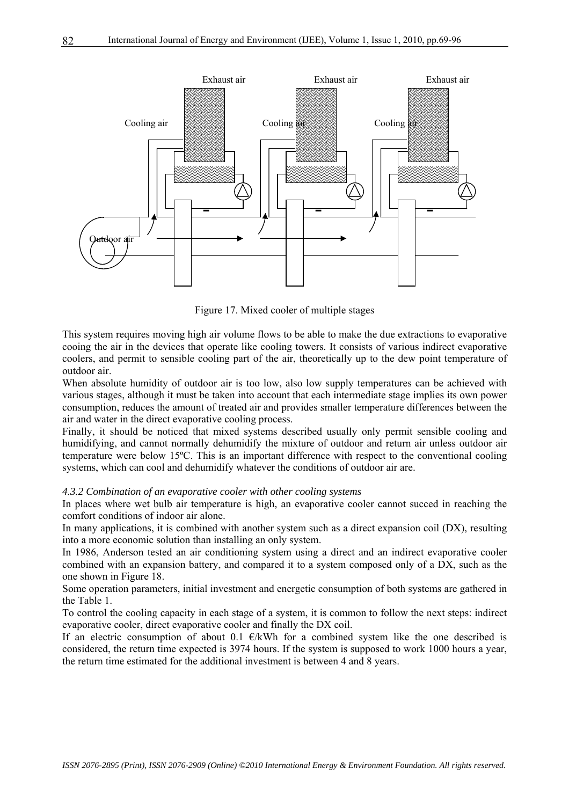

Figure 17. Mixed cooler of multiple stages

This system requires moving high air volume flows to be able to make the due extractions to evaporative cooing the air in the devices that operate like cooling towers. It consists of various indirect evaporative coolers, and permit to sensible cooling part of the air, theoretically up to the dew point temperature of outdoor air.

When absolute humidity of outdoor air is too low, also low supply temperatures can be achieved with various stages, although it must be taken into account that each intermediate stage implies its own power consumption, reduces the amount of treated air and provides smaller temperature differences between the air and water in the direct evaporative cooling process.

Finally, it should be noticed that mixed systems described usually only permit sensible cooling and humidifying, and cannot normally dehumidify the mixture of outdoor and return air unless outdoor air temperature were below 15ºC. This is an important difference with respect to the conventional cooling systems, which can cool and dehumidify whatever the conditions of outdoor air are.

#### *4.3.2 Combination of an evaporative cooler with other cooling systems*

In places where wet bulb air temperature is high, an evaporative cooler cannot succed in reaching the comfort conditions of indoor air alone.

In many applications, it is combined with another system such as a direct expansion coil (DX), resulting into a more economic solution than installing an only system.

In 1986, Anderson tested an air conditioning system using a direct and an indirect evaporative cooler combined with an expansion battery, and compared it to a system composed only of a DX, such as the one shown in Figure 18.

Some operation parameters, initial investment and energetic consumption of both systems are gathered in the Table 1.

To control the cooling capacity in each stage of a system, it is common to follow the next steps: indirect evaporative cooler, direct evaporative cooler and finally the DX coil.

If an electric consumption of about 0.1  $\epsilon/kWh$  for a combined system like the one described is considered, the return time expected is 3974 hours. If the system is supposed to work 1000 hours a year, the return time estimated for the additional investment is between 4 and 8 years.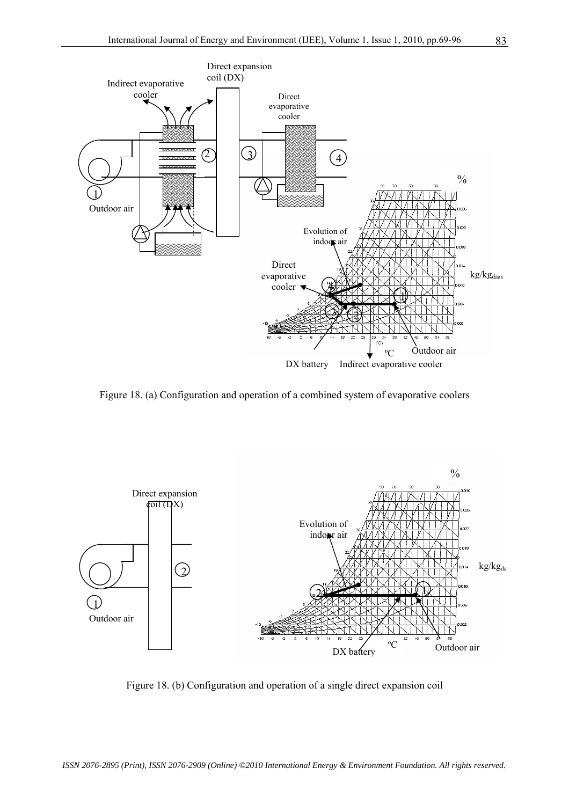

Figure 18. (a) Configuration and operation of a combined system of evaporative coolers



Figure 18. (b) Configuration and operation of a single direct expansion coil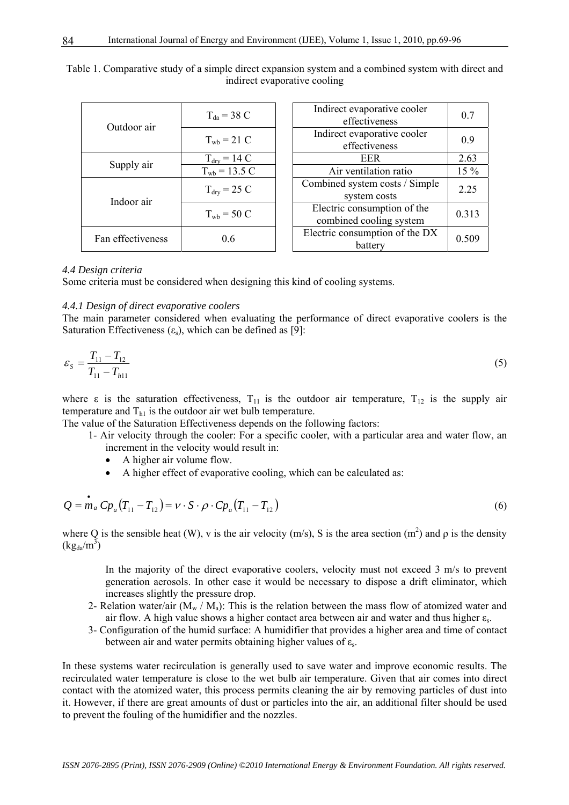| Outdoor air       | $T_{da}$ = 38 C                 | Indirect evaporative cooler<br>effectiveness           | 0.7    |
|-------------------|---------------------------------|--------------------------------------------------------|--------|
|                   | $T_{\rm wb} = 21 \text{ C}$     | Indirect evaporative cooler<br>effectiveness           | 0.9    |
| Supply air        | $T_{\text{dry}} = 14 \text{ C}$ | <b>EER</b>                                             | 2.63   |
|                   | $T_{\rm wb} = 13.5 \text{ C}$   | Air ventilation ratio                                  | $15\%$ |
| Indoor air        | $T_{\text{dry}}$ = 25 C         | Combined system costs / Simple<br>system costs         | 2.25   |
|                   | $T_{\text{wb}}$ = 50 C          | Electric consumption of the<br>combined cooling system | 0.313  |
| Fan effectiveness | 0.6                             | Electric consumption of the DX<br>battery              | 0.509  |

Table 1. Comparative study of a simple direct expansion system and a combined system with direct and indirect evaporative cooling

#### *4.4 Design criteria*

Some criteria must be considered when designing this kind of cooling systems.

#### *4.4.1 Design of direct evaporative coolers*

The main parameter considered when evaluating the performance of direct evaporative coolers is the Saturation Effectiveness  $(\epsilon_s)$ , which can be defined as [9]:

$$
\varepsilon_{s} = \frac{T_{11} - T_{12}}{T_{11} - T_{h11}}
$$
\n(5)

where  $\varepsilon$  is the saturation effectiveness,  $T_{11}$  is the outdoor air temperature,  $T_{12}$  is the supply air temperature and  $T<sub>h1</sub>$  is the outdoor air wet bulb temperature.

The value of the Saturation Effectiveness depends on the following factors:

- 1- Air velocity through the cooler: For a specific cooler, with a particular area and water flow, an increment in the velocity would result in:
	- A higher air volume flow.
	- A higher effect of evaporative cooling, which can be calculated as:

$$
Q = m_a C p_a (T_{11} - T_{12}) = v \cdot S \cdot \rho \cdot C p_a (T_{11} - T_{12})
$$
\n(6)

where Q is the sensible heat (W), v is the air velocity (m/s), S is the area section (m<sup>2</sup>) and  $\rho$  is the density  $(kg_{da}/m^3)$ 

In the majority of the direct evaporative coolers, velocity must not exceed 3 m/s to prevent generation aerosols. In other case it would be necessary to dispose a drift eliminator, which increases slightly the pressure drop.

- 2- Relation water/air ( $M_w / M_a$ ): This is the relation between the mass flow of atomized water and air flow. A high value shows a higher contact area between air and water and thus higher  $\varepsilon_{s}$ .
- 3- Configuration of the humid surface: A humidifier that provides a higher area and time of contact between air and water permits obtaining higher values of  $\varepsilon_{s}$ .

In these systems water recirculation is generally used to save water and improve economic results. The recirculated water temperature is close to the wet bulb air temperature. Given that air comes into direct contact with the atomized water, this process permits cleaning the air by removing particles of dust into it. However, if there are great amounts of dust or particles into the air, an additional filter should be used to prevent the fouling of the humidifier and the nozzles.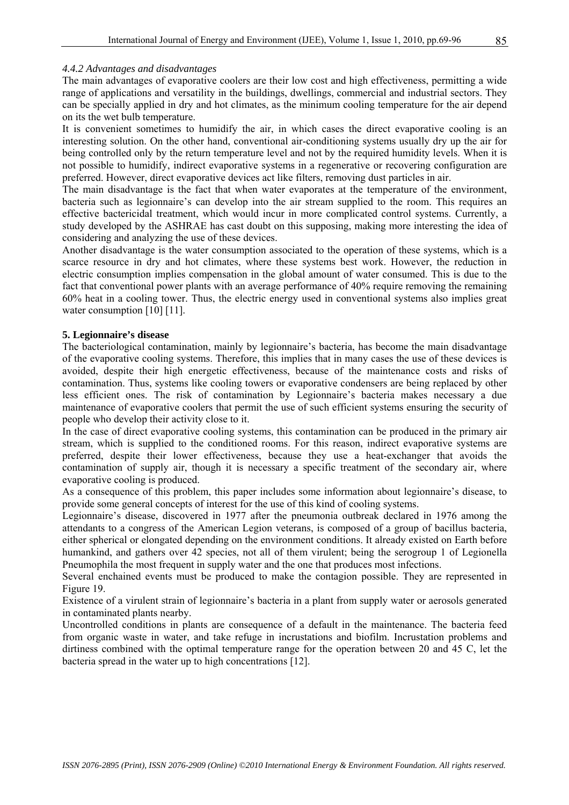#### *4.4.2 Advantages and disadvantages*

The main advantages of evaporative coolers are their low cost and high effectiveness, permitting a wide range of applications and versatility in the buildings, dwellings, commercial and industrial sectors. They can be specially applied in dry and hot climates, as the minimum cooling temperature for the air depend on its the wet bulb temperature.

It is convenient sometimes to humidify the air, in which cases the direct evaporative cooling is an interesting solution. On the other hand, conventional air-conditioning systems usually dry up the air for being controlled only by the return temperature level and not by the required humidity levels. When it is not possible to humidify, indirect evaporative systems in a regenerative or recovering configuration are preferred. However, direct evaporative devices act like filters, removing dust particles in air.

The main disadvantage is the fact that when water evaporates at the temperature of the environment, bacteria such as legionnaire's can develop into the air stream supplied to the room. This requires an effective bactericidal treatment, which would incur in more complicated control systems. Currently, a study developed by the ASHRAE has cast doubt on this supposing, making more interesting the idea of considering and analyzing the use of these devices.

Another disadvantage is the water consumption associated to the operation of these systems, which is a scarce resource in dry and hot climates, where these systems best work. However, the reduction in electric consumption implies compensation in the global amount of water consumed. This is due to the fact that conventional power plants with an average performance of 40% require removing the remaining 60% heat in a cooling tower. Thus, the electric energy used in conventional systems also implies great water consumption [10] [11].

#### **5. Legionnaire's disease**

The bacteriological contamination, mainly by legionnaire's bacteria, has become the main disadvantage of the evaporative cooling systems. Therefore, this implies that in many cases the use of these devices is avoided, despite their high energetic effectiveness, because of the maintenance costs and risks of contamination. Thus, systems like cooling towers or evaporative condensers are being replaced by other less efficient ones. The risk of contamination by Legionnaire's bacteria makes necessary a due maintenance of evaporative coolers that permit the use of such efficient systems ensuring the security of people who develop their activity close to it.

In the case of direct evaporative cooling systems, this contamination can be produced in the primary air stream, which is supplied to the conditioned rooms. For this reason, indirect evaporative systems are preferred, despite their lower effectiveness, because they use a heat-exchanger that avoids the contamination of supply air, though it is necessary a specific treatment of the secondary air, where evaporative cooling is produced.

As a consequence of this problem, this paper includes some information about legionnaire's disease, to provide some general concepts of interest for the use of this kind of cooling systems.

Legionnaire's disease, discovered in 1977 after the pneumonia outbreak declared in 1976 among the attendants to a congress of the American Legion veterans, is composed of a group of bacillus bacteria, either spherical or elongated depending on the environment conditions. It already existed on Earth before humankind, and gathers over 42 species, not all of them virulent; being the serogroup 1 of Legionella Pneumophila the most frequent in supply water and the one that produces most infections.

Several enchained events must be produced to make the contagion possible. They are represented in Figure 19.

Existence of a virulent strain of legionnaire's bacteria in a plant from supply water or aerosols generated in contaminated plants nearby.

Uncontrolled conditions in plants are consequence of a default in the maintenance. The bacteria feed from organic waste in water, and take refuge in incrustations and biofilm. Incrustation problems and dirtiness combined with the optimal temperature range for the operation between 20 and 45 C, let the bacteria spread in the water up to high concentrations [12].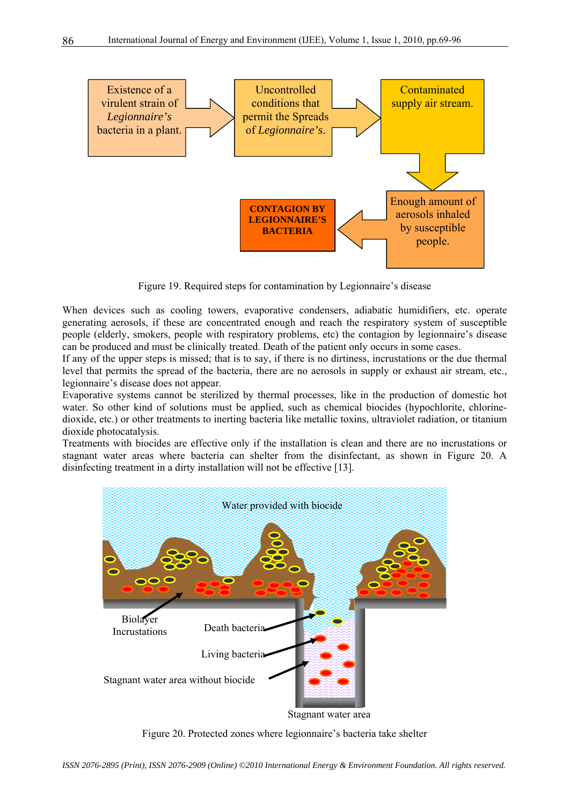

Figure 19. Required steps for contamination by Legionnaire's disease

When devices such as cooling towers, evaporative condensers, adiabatic humidifiers, etc. operate generating aerosols, if these are concentrated enough and reach the respiratory system of susceptible people (elderly, smokers, people with respiratory problems, etc) the contagion by legionnaire's disease can be produced and must be clinically treated. Death of the patient only occurs in some cases.

If any of the upper steps is missed; that is to say, if there is no dirtiness, incrustations or the due thermal level that permits the spread of the bacteria, there are no aerosols in supply or exhaust air stream, etc., legionnaire's disease does not appear.

Evaporative systems cannot be sterilized by thermal processes, like in the production of domestic hot water. So other kind of solutions must be applied, such as chemical biocides (hypochlorite, chlorinedioxide, etc.) or other treatments to inerting bacteria like metallic toxins, ultraviolet radiation, or titanium dioxide photocatalysis.

Treatments with biocides are effective only if the installation is clean and there are no incrustations or stagnant water areas where bacteria can shelter from the disinfectant, as shown in Figure 20. A disinfecting treatment in a dirty installation will not be effective [13].



Figure 20. Protected zones where legionnaire's bacteria take shelter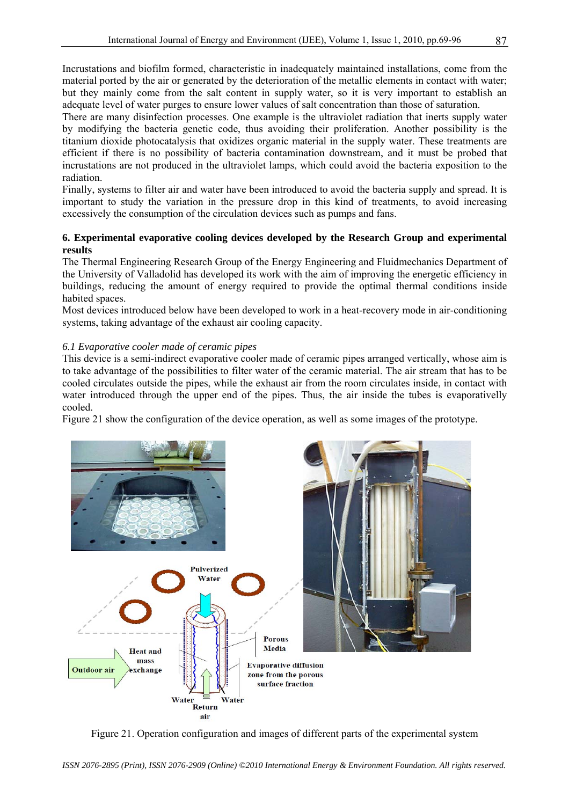Incrustations and biofilm formed, characteristic in inadequately maintained installations, come from the material ported by the air or generated by the deterioration of the metallic elements in contact with water; but they mainly come from the salt content in supply water, so it is very important to establish an adequate level of water purges to ensure lower values of salt concentration than those of saturation.

There are many disinfection processes. One example is the ultraviolet radiation that inerts supply water by modifying the bacteria genetic code, thus avoiding their proliferation. Another possibility is the titanium dioxide photocatalysis that oxidizes organic material in the supply water. These treatments are efficient if there is no possibility of bacteria contamination downstream, and it must be probed that incrustations are not produced in the ultraviolet lamps, which could avoid the bacteria exposition to the radiation.

Finally, systems to filter air and water have been introduced to avoid the bacteria supply and spread. It is important to study the variation in the pressure drop in this kind of treatments, to avoid increasing excessively the consumption of the circulation devices such as pumps and fans.

#### **6. Experimental evaporative cooling devices developed by the Research Group and experimental results**

The Thermal Engineering Research Group of the Energy Engineering and Fluidmechanics Department of the University of Valladolid has developed its work with the aim of improving the energetic efficiency in buildings, reducing the amount of energy required to provide the optimal thermal conditions inside habited spaces.

Most devices introduced below have been developed to work in a heat-recovery mode in air-conditioning systems, taking advantage of the exhaust air cooling capacity.

#### *6.1 Evaporative cooler made of ceramic pipes*

This device is a semi-indirect evaporative cooler made of ceramic pipes arranged vertically, whose aim is to take advantage of the possibilities to filter water of the ceramic material. The air stream that has to be cooled circulates outside the pipes, while the exhaust air from the room circulates inside, in contact with water introduced through the upper end of the pipes. Thus, the air inside the tubes is evaporativelly cooled.

Figure 21 show the configuration of the device operation, as well as some images of the prototype.



Figure 21. Operation configuration and images of different parts of the experimental system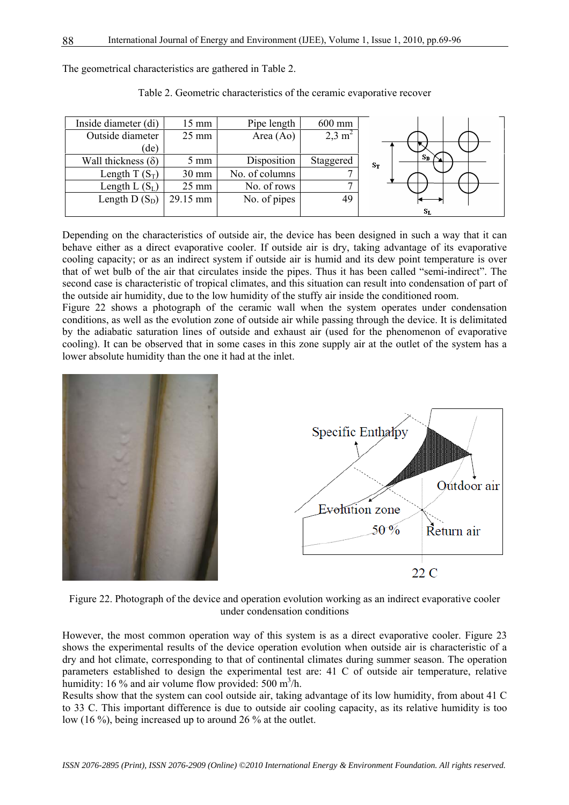The geometrical characteristics are gathered in Table 2.

| Inside diameter (di)      | 15 mm           | Pipe length    | 600 mm            |             |
|---------------------------|-----------------|----------------|-------------------|-------------|
| Outside diameter          | $25 \text{ mm}$ | Area (Ao)      | $2,3 \text{ m}^2$ |             |
| (de)                      |                 |                |                   |             |
| Wall thickness $(\delta)$ | $5 \text{ mm}$  | Disposition    | Staggered         | Sв<br>$S_T$ |
| Length T $(S_T)$          | $30 \text{ mm}$ | No. of columns |                   |             |
| Length L $(S_L)$          | $25 \text{ mm}$ | No. of rows    |                   |             |
| Length D $(S_D)$          | 29.15 mm        | No. of pipes   | 49                |             |
|                           |                 |                |                   | Sī.         |

Table 2. Geometric characteristics of the ceramic evaporative recover

Depending on the characteristics of outside air, the device has been designed in such a way that it can behave either as a direct evaporative cooler. If outside air is dry, taking advantage of its evaporative cooling capacity; or as an indirect system if outside air is humid and its dew point temperature is over that of wet bulb of the air that circulates inside the pipes. Thus it has been called "semi-indirect". The second case is characteristic of tropical climates, and this situation can result into condensation of part of the outside air humidity, due to the low humidity of the stuffy air inside the conditioned room.

Figure 22 shows a photograph of the ceramic wall when the system operates under condensation conditions, as well as the evolution zone of outside air while passing through the device. It is delimitated by the adiabatic saturation lines of outside and exhaust air (used for the phenomenon of evaporative cooling). It can be observed that in some cases in this zone supply air at the outlet of the system has a lower absolute humidity than the one it had at the inlet.



Figure 22. Photograph of the device and operation evolution working as an indirect evaporative cooler under condensation conditions

However, the most common operation way of this system is as a direct evaporative cooler. Figure 23 shows the experimental results of the device operation evolution when outside air is characteristic of a dry and hot climate, corresponding to that of continental climates during summer season. The operation parameters established to design the experimental test are: 41 C of outside air temperature, relative humidity: 16 % and air volume flow provided: 500 m<sup>3</sup>/h.

Results show that the system can cool outside air, taking advantage of its low humidity, from about 41 C to 33 C. This important difference is due to outside air cooling capacity, as its relative humidity is too low (16 %), being increased up to around 26 % at the outlet.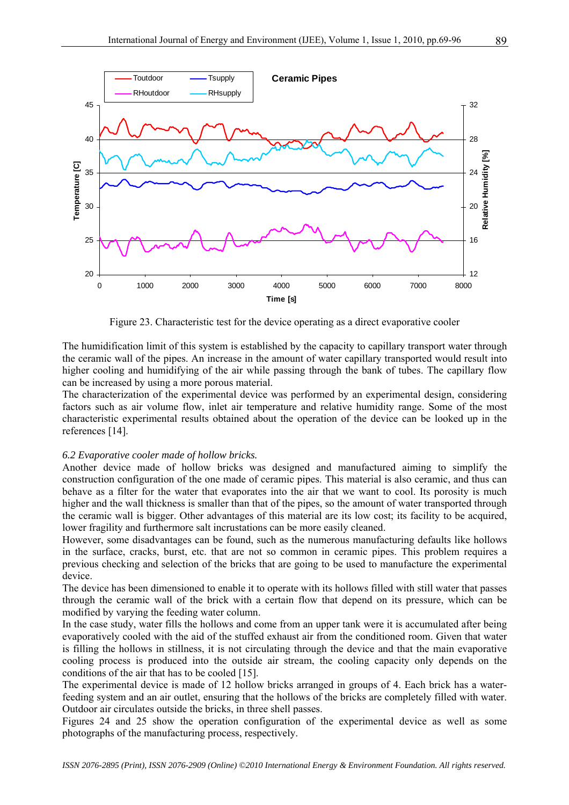

Figure 23. Characteristic test for the device operating as a direct evaporative cooler

The humidification limit of this system is established by the capacity to capillary transport water through the ceramic wall of the pipes. An increase in the amount of water capillary transported would result into higher cooling and humidifying of the air while passing through the bank of tubes. The capillary flow can be increased by using a more porous material.

The characterization of the experimental device was performed by an experimental design, considering factors such as air volume flow, inlet air temperature and relative humidity range. Some of the most characteristic experimental results obtained about the operation of the device can be looked up in the references [14].

#### *6.2 Evaporative cooler made of hollow bricks.*

Another device made of hollow bricks was designed and manufactured aiming to simplify the construction configuration of the one made of ceramic pipes. This material is also ceramic, and thus can behave as a filter for the water that evaporates into the air that we want to cool. Its porosity is much higher and the wall thickness is smaller than that of the pipes, so the amount of water transported through the ceramic wall is bigger. Other advantages of this material are its low cost; its facility to be acquired, lower fragility and furthermore salt incrustations can be more easily cleaned.

However, some disadvantages can be found, such as the numerous manufacturing defaults like hollows in the surface, cracks, burst, etc. that are not so common in ceramic pipes. This problem requires a previous checking and selection of the bricks that are going to be used to manufacture the experimental device.

The device has been dimensioned to enable it to operate with its hollows filled with still water that passes through the ceramic wall of the brick with a certain flow that depend on its pressure, which can be modified by varying the feeding water column.

In the case study, water fills the hollows and come from an upper tank were it is accumulated after being evaporatively cooled with the aid of the stuffed exhaust air from the conditioned room. Given that water is filling the hollows in stillness, it is not circulating through the device and that the main evaporative cooling process is produced into the outside air stream, the cooling capacity only depends on the conditions of the air that has to be cooled [15].

The experimental device is made of 12 hollow bricks arranged in groups of 4. Each brick has a waterfeeding system and an air outlet, ensuring that the hollows of the bricks are completely filled with water. Outdoor air circulates outside the bricks, in three shell passes.

Figures 24 and 25 show the operation configuration of the experimental device as well as some photographs of the manufacturing process, respectively.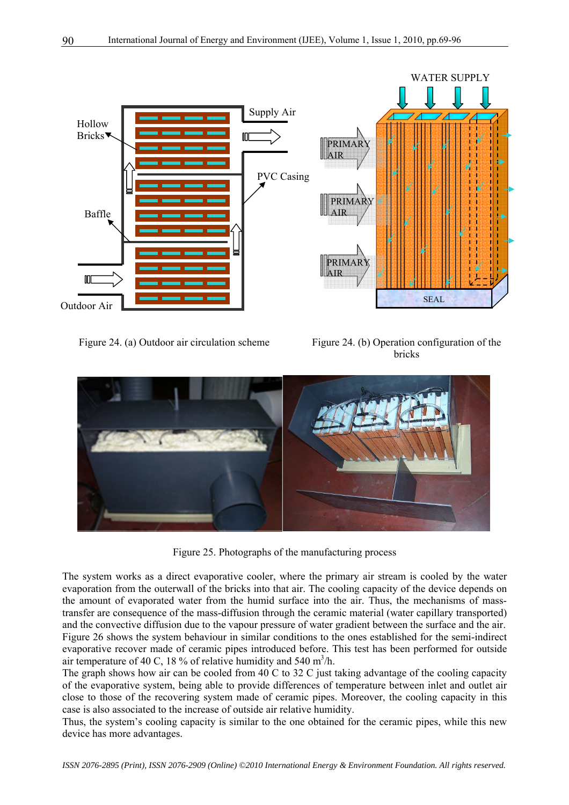

Figure 24. (a) Outdoor air circulation scheme Figure 24. (b) Operation configuration of the bricks



Figure 25. Photographs of the manufacturing process

The system works as a direct evaporative cooler, where the primary air stream is cooled by the water evaporation from the outerwall of the bricks into that air. The cooling capacity of the device depends on the amount of evaporated water from the humid surface into the air. Thus, the mechanisms of masstransfer are consequence of the mass-diffusion through the ceramic material (water capillary transported) and the convective diffusion due to the vapour pressure of water gradient between the surface and the air. Figure 26 shows the system behaviour in similar conditions to the ones established for the semi-indirect evaporative recover made of ceramic pipes introduced before. This test has been performed for outside air temperature of 40 C, 18 % of relative humidity and 540 m<sup>3</sup>/h.

The graph shows how air can be cooled from 40 C to 32 C just taking advantage of the cooling capacity of the evaporative system, being able to provide differences of temperature between inlet and outlet air close to those of the recovering system made of ceramic pipes. Moreover, the cooling capacity in this case is also associated to the increase of outside air relative humidity.

Thus, the system's cooling capacity is similar to the one obtained for the ceramic pipes, while this new device has more advantages.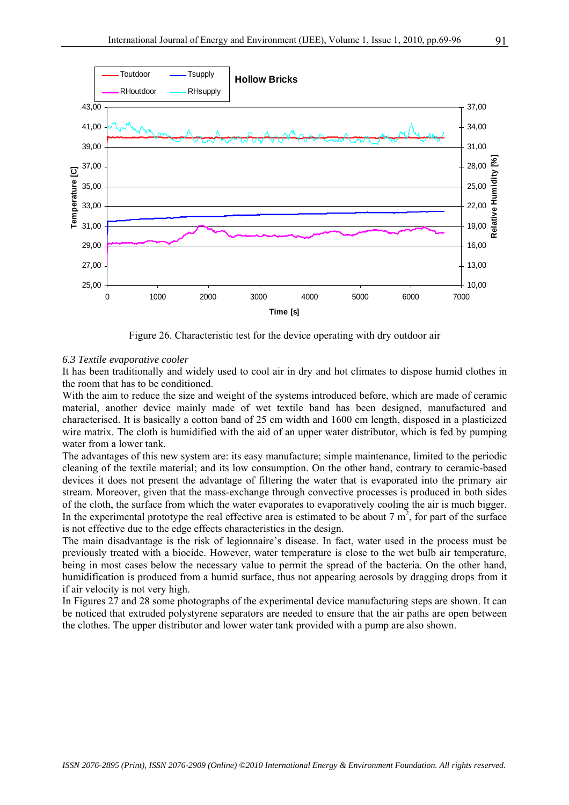

Figure 26. Characteristic test for the device operating with dry outdoor air

#### *6.3 Textile evaporative cooler*

It has been traditionally and widely used to cool air in dry and hot climates to dispose humid clothes in the room that has to be conditioned.

With the aim to reduce the size and weight of the systems introduced before, which are made of ceramic material, another device mainly made of wet textile band has been designed, manufactured and characterised. It is basically a cotton band of 25 cm width and 1600 cm length, disposed in a plasticized wire matrix. The cloth is humidified with the aid of an upper water distributor, which is fed by pumping water from a lower tank.

The advantages of this new system are: its easy manufacture; simple maintenance, limited to the periodic cleaning of the textile material; and its low consumption. On the other hand, contrary to ceramic-based devices it does not present the advantage of filtering the water that is evaporated into the primary air stream. Moreover, given that the mass-exchange through convective processes is produced in both sides of the cloth, the surface from which the water evaporates to evaporatively cooling the air is much bigger. In the experimental prototype the real effective area is estimated to be about 7  $m^2$ , for part of the surface is not effective due to the edge effects characteristics in the design.

The main disadvantage is the risk of legionnaire's disease. In fact, water used in the process must be previously treated with a biocide. However, water temperature is close to the wet bulb air temperature, being in most cases below the necessary value to permit the spread of the bacteria. On the other hand, humidification is produced from a humid surface, thus not appearing aerosols by dragging drops from it if air velocity is not very high.

In Figures 27 and 28 some photographs of the experimental device manufacturing steps are shown. It can be noticed that extruded polystyrene separators are needed to ensure that the air paths are open between the clothes. The upper distributor and lower water tank provided with a pump are also shown.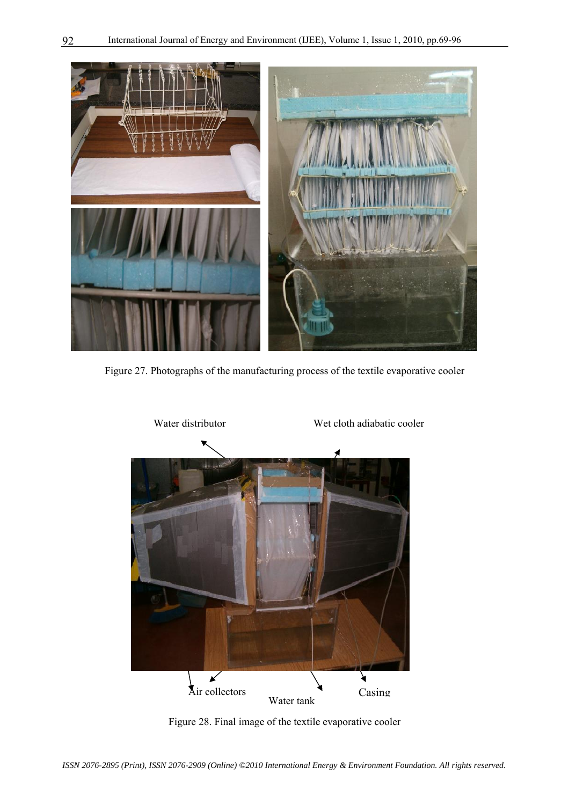

Figure 27. Photographs of the manufacturing process of the textile evaporative cooler



Figure 28. Final image of the textile evaporative cooler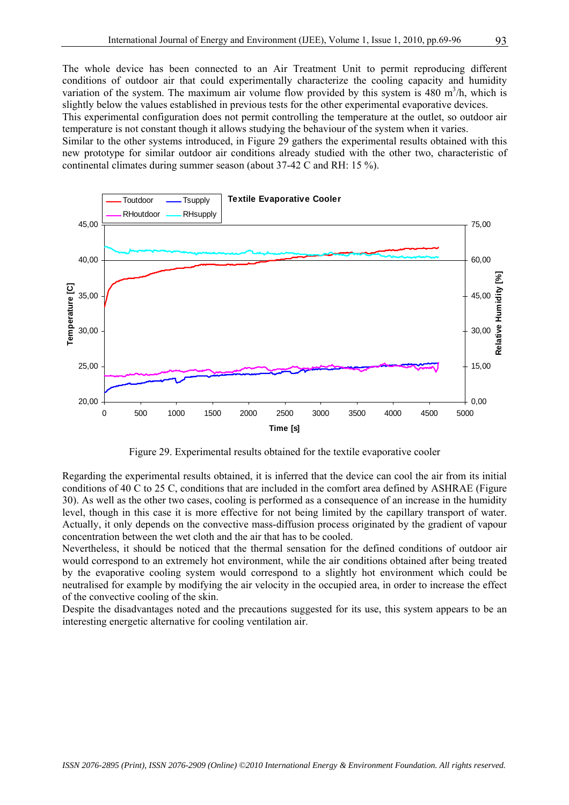The whole device has been connected to an Air Treatment Unit to permit reproducing different conditions of outdoor air that could experimentally characterize the cooling capacity and humidity variation of the system. The maximum air volume flow provided by this system is  $480 \text{ m}^3/\text{h}$ , which is slightly below the values established in previous tests for the other experimental evaporative devices.

This experimental configuration does not permit controlling the temperature at the outlet, so outdoor air temperature is not constant though it allows studying the behaviour of the system when it varies.

Similar to the other systems introduced, in Figure 29 gathers the experimental results obtained with this new prototype for similar outdoor air conditions already studied with the other two, characteristic of continental climates during summer season (about 37-42 C and RH: 15 %).



Figure 29. Experimental results obtained for the textile evaporative cooler

Regarding the experimental results obtained, it is inferred that the device can cool the air from its initial conditions of 40 C to 25 C, conditions that are included in the comfort area defined by ASHRAE (Figure 30). As well as the other two cases, cooling is performed as a consequence of an increase in the humidity level, though in this case it is more effective for not being limited by the capillary transport of water. Actually, it only depends on the convective mass-diffusion process originated by the gradient of vapour concentration between the wet cloth and the air that has to be cooled.

Nevertheless, it should be noticed that the thermal sensation for the defined conditions of outdoor air would correspond to an extremely hot environment, while the air conditions obtained after being treated by the evaporative cooling system would correspond to a slightly hot environment which could be neutralised for example by modifying the air velocity in the occupied area, in order to increase the effect of the convective cooling of the skin.

Despite the disadvantages noted and the precautions suggested for its use, this system appears to be an interesting energetic alternative for cooling ventilation air.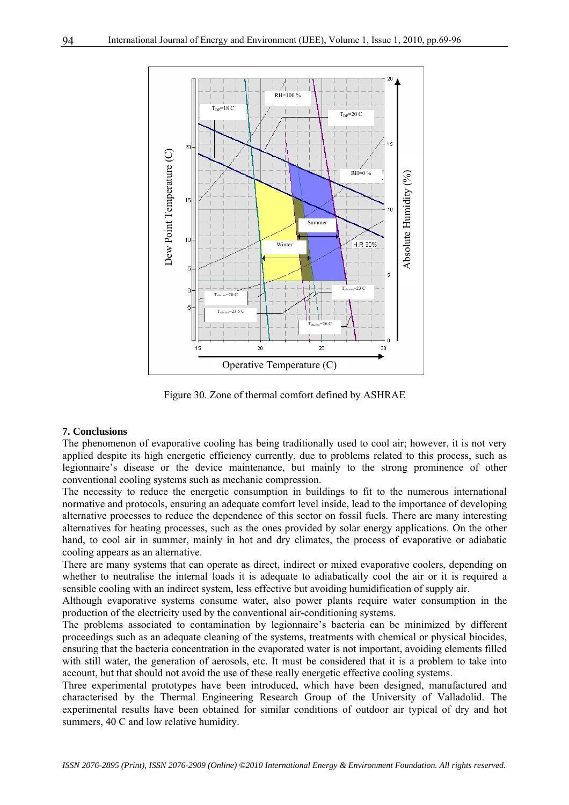

Figure 30. Zone of thermal comfort defined by ASHRAE

#### **7. Conclusions**

The phenomenon of evaporative cooling has being traditionally used to cool air; however, it is not very applied despite its high energetic efficiency currently, due to problems related to this process, such as legionnaire's disease or the device maintenance, but mainly to the strong prominence of other conventional cooling systems such as mechanic compression.

The necessity to reduce the energetic consumption in buildings to fit to the numerous international normative and protocols, ensuring an adequate comfort level inside, lead to the importance of developing alternative processes to reduce the dependence of this sector on fossil fuels. There are many interesting alternatives for heating processes, such as the ones provided by solar energy applications. On the other hand, to cool air in summer, mainly in hot and dry climates, the process of evaporative or adiabatic cooling appears as an alternative.

There are many systems that can operate as direct, indirect or mixed evaporative coolers, depending on whether to neutralise the internal loads it is adequate to adiabatically cool the air or it is required a sensible cooling with an indirect system, less effective but avoiding humidification of supply air.

Although evaporative systems consume water, also power plants require water consumption in the production of the electricity used by the conventional air-conditioning systems.

The problems associated to contamination by legionnaire's bacteria can be minimized by different proceedings such as an adequate cleaning of the systems, treatments with chemical or physical biocides, ensuring that the bacteria concentration in the evaporated water is not important, avoiding elements filled with still water, the generation of aerosols, etc. It must be considered that it is a problem to take into account, but that should not avoid the use of these really energetic effective cooling systems.

Three experimental prototypes have been introduced, which have been designed, manufactured and characterised by the Thermal Engineering Research Group of the University of Valladolid. The experimental results have been obtained for similar conditions of outdoor air typical of dry and hot summers, 40 C and low relative humidity.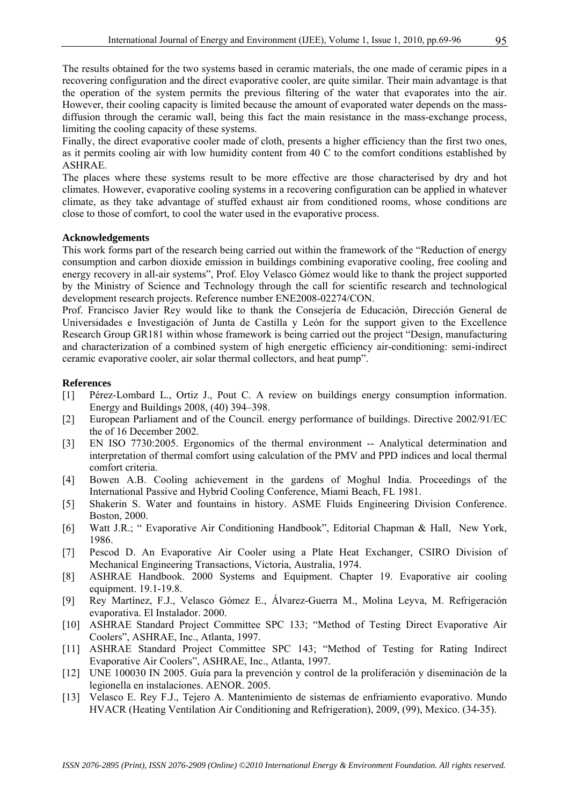The results obtained for the two systems based in ceramic materials, the one made of ceramic pipes in a recovering configuration and the direct evaporative cooler, are quite similar. Their main advantage is that the operation of the system permits the previous filtering of the water that evaporates into the air. However, their cooling capacity is limited because the amount of evaporated water depends on the massdiffusion through the ceramic wall, being this fact the main resistance in the mass-exchange process, limiting the cooling capacity of these systems.

Finally, the direct evaporative cooler made of cloth, presents a higher efficiency than the first two ones, as it permits cooling air with low humidity content from 40 C to the comfort conditions established by ASHRAE.

The places where these systems result to be more effective are those characterised by dry and hot climates. However, evaporative cooling systems in a recovering configuration can be applied in whatever climate, as they take advantage of stuffed exhaust air from conditioned rooms, whose conditions are close to those of comfort, to cool the water used in the evaporative process.

#### **Acknowledgements**

This work forms part of the research being carried out within the framework of the "Reduction of energy consumption and carbon dioxide emission in buildings combining evaporative cooling, free cooling and energy recovery in all-air systems", Prof. Eloy Velasco Gómez would like to thank the project supported by the Ministry of Science and Technology through the call for scientific research and technological development research projects. Reference number ENE2008-02274/CON.

Prof. Francisco Javier Rey would like to thank the Consejería de Educación, Dirección General de Universidades e Investigación of Junta de Castilla y León for the support given to the Excellence Research Group GR181 within whose framework is being carried out the project "Design, manufacturing and characterization of a combined system of high energetic efficiency air-conditioning: semi-indirect ceramic evaporative cooler, air solar thermal collectors, and heat pump".

#### **References**

- [1] Pérez-Lombard L., Ortiz J., Pout C. A review on buildings energy consumption information. Energy and Buildings 2008, (40) 394–398.
- [2] European Parliament and of the Council. energy performance of buildings. Directive 2002/91/EC the of 16 December 2002.
- [3] EN ISO 7730:2005. Ergonomics of the thermal environment -- Analytical determination and interpretation of thermal comfort using calculation of the PMV and PPD indices and local thermal comfort criteria.
- [4] Bowen A.B. Cooling achievement in the gardens of Moghul India. Proceedings of the International Passive and Hybrid Cooling Conference, Miami Beach, FL 1981.
- [5] Shakerin S. Water and fountains in history. ASME Fluids Engineering Division Conference. Boston, 2000.
- [6] Watt J.R.; " Evaporative Air Conditioning Handbook", Editorial Chapman & Hall, New York, 1986.
- [7] Pescod D. An Evaporative Air Cooler using a Plate Heat Exchanger, CSIRO Division of Mechanical Engineering Transactions, Victoria, Australia, 1974.
- [8] ASHRAE Handbook. 2000 Systems and Equipment. Chapter 19. Evaporative air cooling equipment. 19.1-19.8.
- [9] Rey Martínez, F.J., Velasco Gómez E., Álvarez-Guerra M., Molina Leyva, M. Refrigeración evaporativa. El Instalador. 2000.
- [10] ASHRAE Standard Project Committee SPC 133; "Method of Testing Direct Evaporative Air Coolers", ASHRAE, Inc., Atlanta, 1997.
- [11] ASHRAE Standard Project Committee SPC 143; "Method of Testing for Rating Indirect Evaporative Air Coolers", ASHRAE, Inc., Atlanta, 1997.
- [12] UNE 100030 IN 2005. Guía para la prevención y control de la proliferación y diseminación de la legionella en instalaciones. AENOR. 2005.
- [13] Velasco E. Rey F.J., Tejero A. Mantenimiento de sistemas de enfriamiento evaporativo. Mundo HVACR (Heating Ventilation Air Conditioning and Refrigeration), 2009, (99), Mexico. (34-35).